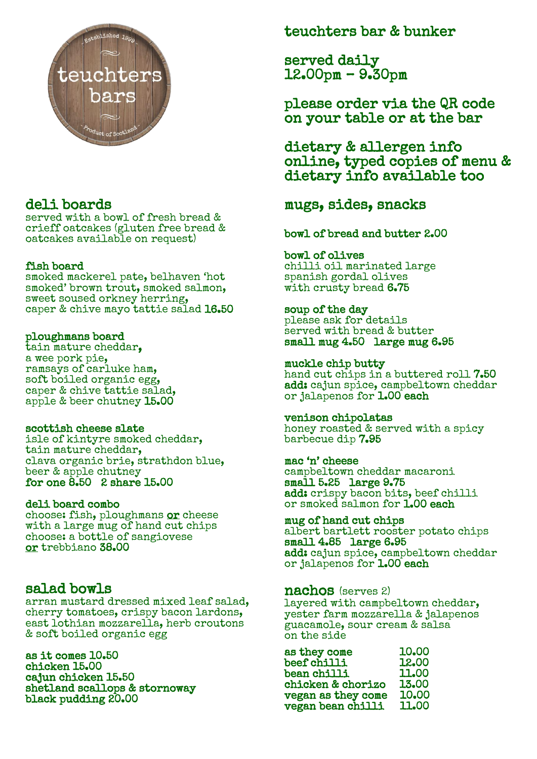

# deli boards

served with a bowl of fresh bread & crieff oatcakes (gluten free bread & oatcakes available on request)

### fish board

smoked mackerel pate, belhaven 'hot smoked' brown trout, smoked salmon, sweet soused orkney herring, caper & chive mayo tattie salad 16.50

## ploughmans board

tain mature cheddar, a wee pork pie, ramsays of carluke ham, soft boiled organic egg, caper & chive tattie salad, apple & beer chutney 15.00

## scottish cheese slate

isle of kintyre smoked cheddar, tain mature cheddar, clava organic brie, strathdon blue, beer & apple chutney for one 8.50 2 share 15.00

## deli board combo

choose: fish, ploughmans or cheese with a large mug of hand cut chips choose: a bottle of sangiovese or trebbiano 38.00

# salad bowls

arran mustard dressed mixed leaf salad, cherry tomatoes, crispy bacon lardons, east lothian mozzarella, herb croutons & soft boiled organic egg

as it comes 10.50 chicken 15.00 cajun chicken 15.50 shetland scallops & stornoway black pudding 20.00

# teuchters bar & bunker

served daily 12.00pm – 9.30pm

please order via the QR code on your table or at the bar

dietary & allergen info online, typed copies of menu & dietary info available too

# mugs, sides, snacks

## bowl of bread and butter 2.00

### bowl of olives

chilli oil marinated large spanish gordal olives with crusty bread 6.75

## soup of the day

please ask for details served with bread & butter small mug 4.50 large mug 6.95

## muckle chip butty hand cut chips in a buttered roll 7.50

add: cajun spice, campbeltown cheddar or jalapenos for 1.00 each

#### venison chipolatas honey roasted & served with a spicy barbecue dip 7.95

mac 'n' cheese campbeltown cheddar macaroni small 5.25 large 9.75 add: crispy bacon bits, beef chilli or smoked salmon for 1.00 each

### mug of hand cut chips albert bartlett rooster potato chips small 4.85 large 6.95 add: cajun spice, campbeltown cheddar or jalapenos for 1.00 each

## nachos (serves 2)

layered with campbeltown cheddar, yester farm mozzarella & jalapenos guacamole, sour cream & salsa on the side

| 10.00 |
|-------|
| 12.00 |
| 11.00 |
| 13.00 |
| 10.00 |
| 11.00 |
|       |